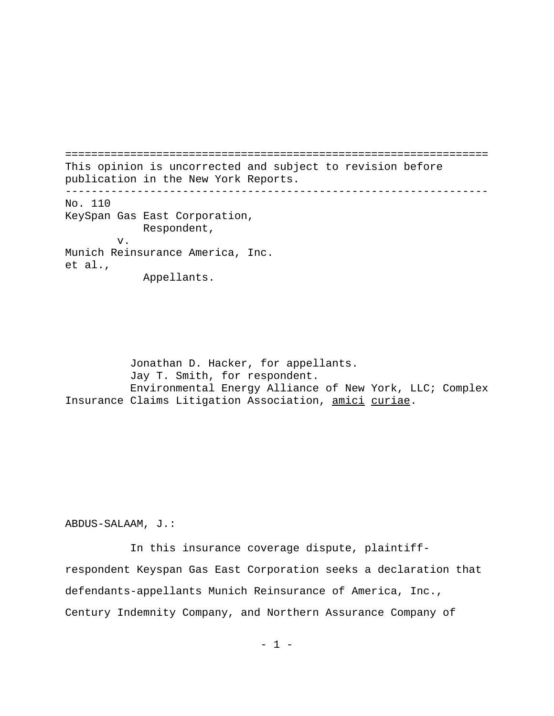================================================================= This opinion is uncorrected and subject to revision before publication in the New York Reports. ----------------------------------------------------------------- No. 110 KeySpan Gas East Corporation, Respondent, v. Munich Reinsurance America, Inc. et al., Appellants.

Jonathan D. Hacker, for appellants. Jay T. Smith, for respondent. Environmental Energy Alliance of New York, LLC; Complex Insurance Claims Litigation Association, amici curiae.

ABDUS-SALAAM, J.:

In this insurance coverage dispute, plaintiffrespondent Keyspan Gas East Corporation seeks a declaration that defendants-appellants Munich Reinsurance of America, Inc., Century Indemnity Company, and Northern Assurance Company of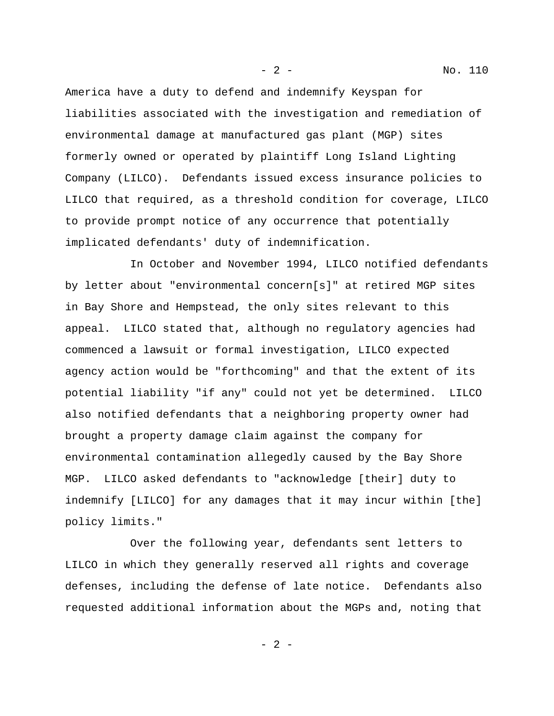America have a duty to defend and indemnify Keyspan for liabilities associated with the investigation and remediation of environmental damage at manufactured gas plant (MGP) sites formerly owned or operated by plaintiff Long Island Lighting Company (LILCO). Defendants issued excess insurance policies to LILCO that required, as a threshold condition for coverage, LILCO to provide prompt notice of any occurrence that potentially implicated defendants' duty of indemnification.

In October and November 1994, LILCO notified defendants by letter about "environmental concern[s]" at retired MGP sites in Bay Shore and Hempstead, the only sites relevant to this appeal. LILCO stated that, although no regulatory agencies had commenced a lawsuit or formal investigation, LILCO expected agency action would be "forthcoming" and that the extent of its potential liability "if any" could not yet be determined. LILCO also notified defendants that a neighboring property owner had brought a property damage claim against the company for environmental contamination allegedly caused by the Bay Shore MGP. LILCO asked defendants to "acknowledge [their] duty to indemnify [LILCO] for any damages that it may incur within [the] policy limits."

Over the following year, defendants sent letters to LILCO in which they generally reserved all rights and coverage defenses, including the defense of late notice. Defendants also requested additional information about the MGPs and, noting that

 $- 2 -$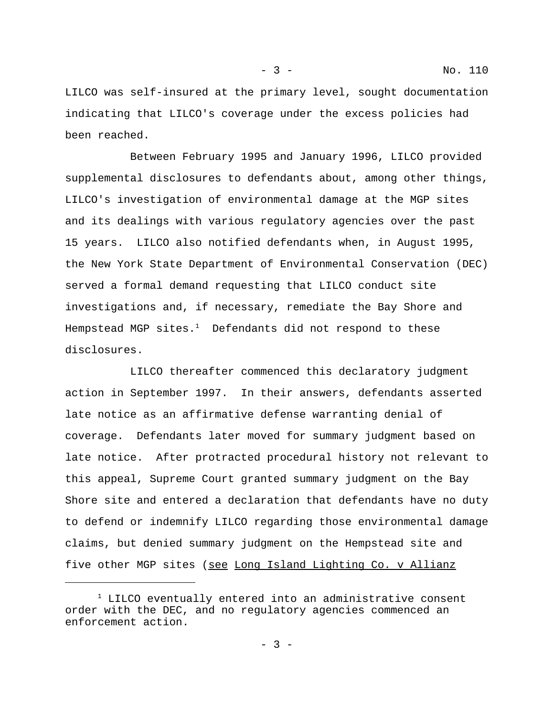LILCO was self-insured at the primary level, sought documentation indicating that LILCO's coverage under the excess policies had been reached.

Between February 1995 and January 1996, LILCO provided supplemental disclosures to defendants about, among other things, LILCO's investigation of environmental damage at the MGP sites and its dealings with various regulatory agencies over the past 15 years. LILCO also notified defendants when, in August 1995, the New York State Department of Environmental Conservation (DEC) served a formal demand requesting that LILCO conduct site investigations and, if necessary, remediate the Bay Shore and Hempstead MGP sites. $^{\rm 1}$  Defendants did not respond to these disclosures.

LILCO thereafter commenced this declaratory judgment action in September 1997. In their answers, defendants asserted late notice as an affirmative defense warranting denial of coverage. Defendants later moved for summary judgment based on late notice. After protracted procedural history not relevant to this appeal, Supreme Court granted summary judgment on the Bay Shore site and entered a declaration that defendants have no duty to defend or indemnify LILCO regarding those environmental damage claims, but denied summary judgment on the Hempstead site and five other MGP sites (see Long Island Lighting Co. v Allianz

 $^1$  LILCO eventually entered into an administrative consent order with the DEC, and no regulatory agencies commenced an enforcement action.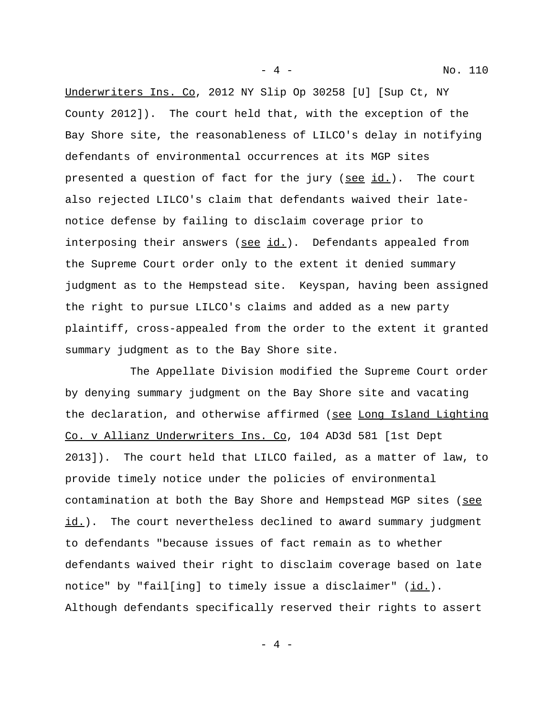- 4 - No. 110

Underwriters Ins. Co, 2012 NY Slip Op 30258 [U] [Sup Ct, NY County 2012]). The court held that, with the exception of the Bay Shore site, the reasonableness of LILCO's delay in notifying defendants of environmental occurrences at its MGP sites presented a question of fact for the jury (see id.). The court also rejected LILCO's claim that defendants waived their latenotice defense by failing to disclaim coverage prior to interposing their answers ( $\underline{\text{see id.}}$ ). Defendants appealed from the Supreme Court order only to the extent it denied summary judgment as to the Hempstead site. Keyspan, having been assigned the right to pursue LILCO's claims and added as a new party plaintiff, cross-appealed from the order to the extent it granted summary judgment as to the Bay Shore site.

The Appellate Division modified the Supreme Court order by denying summary judgment on the Bay Shore site and vacating the declaration, and otherwise affirmed (see Long Island Lighting Co. v Allianz Underwriters Ins. Co, 104 AD3d 581 [1st Dept 2013]). The court held that LILCO failed, as a matter of law, to provide timely notice under the policies of environmental contamination at both the Bay Shore and Hempstead MGP sites (see id.). The court nevertheless declined to award summary judgment to defendants "because issues of fact remain as to whether defendants waived their right to disclaim coverage based on late notice" by "fail[ing] to timely issue a disclaimer"  $(\underline{id.})$ . Although defendants specifically reserved their rights to assert

 $-4 -$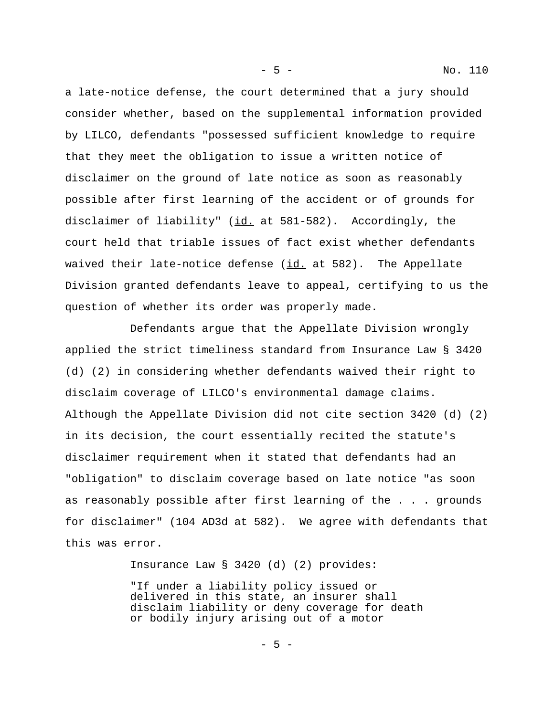a late-notice defense, the court determined that a jury should consider whether, based on the supplemental information provided by LILCO, defendants "possessed sufficient knowledge to require that they meet the obligation to issue a written notice of disclaimer on the ground of late notice as soon as reasonably possible after first learning of the accident or of grounds for disclaimer of liability" ( $id$ , at 581-582). Accordingly, the court held that triable issues of fact exist whether defendants waived their late-notice defense (id. at 582). The Appellate Division granted defendants leave to appeal, certifying to us the question of whether its order was properly made.

Defendants argue that the Appellate Division wrongly applied the strict timeliness standard from Insurance Law § 3420 (d) (2) in considering whether defendants waived their right to disclaim coverage of LILCO's environmental damage claims. Although the Appellate Division did not cite section 3420 (d) (2) in its decision, the court essentially recited the statute's disclaimer requirement when it stated that defendants had an "obligation" to disclaim coverage based on late notice "as soon as reasonably possible after first learning of the . . . grounds for disclaimer" (104 AD3d at 582). We agree with defendants that this was error.

Insurance Law § 3420 (d) (2) provides:

"If under a liability policy issued or delivered in this state, an insurer shall disclaim liability or deny coverage for death or bodily injury arising out of a motor

 $-5 -$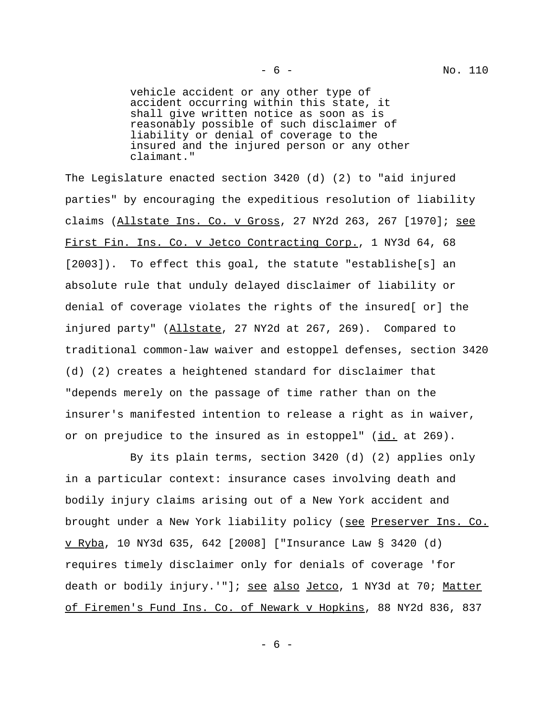vehicle accident or any other type of accident occurring within this state, it shall give written notice as soon as is reasonably possible of such disclaimer of liability or denial of coverage to the insured and the injured person or any other claimant."

The Legislature enacted section 3420 (d) (2) to "aid injured parties" by encouraging the expeditious resolution of liability claims (Allstate Ins. Co. v Gross, 27 NY2d 263, 267 [1970]; see First Fin. Ins. Co. v Jetco Contracting Corp., 1 NY3d 64, 68 [2003]). To effect this goal, the statute "establishe[s] an absolute rule that unduly delayed disclaimer of liability or denial of coverage violates the rights of the insured[ or] the injured party" (Allstate, 27 NY2d at 267, 269). Compared to traditional common-law waiver and estoppel defenses, section 3420 (d) (2) creates a heightened standard for disclaimer that "depends merely on the passage of time rather than on the insurer's manifested intention to release a right as in waiver, or on prejudice to the insured as in estoppel" (id. at 269).

By its plain terms, section 3420 (d) (2) applies only in a particular context: insurance cases involving death and bodily injury claims arising out of a New York accident and brought under a New York liability policy (see Preserver Ins. Co. v Ryba, 10 NY3d 635, 642 [2008] ["Insurance Law § 3420 (d) requires timely disclaimer only for denials of coverage 'for death or bodily injury.'"]; see also Jetco, 1 NY3d at 70; Matter of Firemen's Fund Ins. Co. of Newark v Hopkins, 88 NY2d 836, 837

- 6 -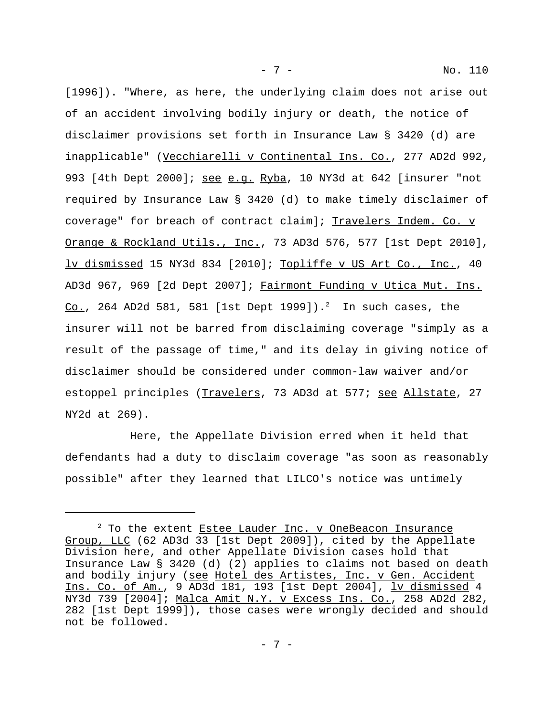[1996]). "Where, as here, the underlying claim does not arise out of an accident involving bodily injury or death, the notice of disclaimer provisions set forth in Insurance Law § 3420 (d) are inapplicable" (Vecchiarelli v Continental Ins. Co., 277 AD2d 992, 993 [4th Dept 2000]; see e.g. Ryba, 10 NY3d at 642 [insurer "not required by Insurance Law § 3420 (d) to make timely disclaimer of coverage" for breach of contract claim]; Travelers Indem. Co. v Orange & Rockland Utils., Inc., 73 AD3d 576, 577 [1st Dept 2010], lv dismissed 15 NY3d 834 [2010]; Topliffe v US Art Co., Inc., 40 AD3d 967, 969 [2d Dept 2007]; Fairmont Funding v Utica Mut. Ins. <u>Co.</u>, 264 AD2d 581, 581 [1st Dept 1999]). $^2$  In such cases, the insurer will not be barred from disclaiming coverage "simply as a result of the passage of time," and its delay in giving notice of disclaimer should be considered under common-law waiver and/or estoppel principles (Travelers, 73 AD3d at 577; see Allstate, 27 NY2d at 269).

- 7 - No. 110

Here, the Appellate Division erred when it held that defendants had a duty to disclaim coverage "as soon as reasonably possible" after they learned that LILCO's notice was untimely

 $2$  To the extent Estee Lauder Inc. v OneBeacon Insurance Group, LLC (62 AD3d 33 [1st Dept 2009]), cited by the Appellate Division here, and other Appellate Division cases hold that Insurance Law § 3420 (d) (2) applies to claims not based on death and bodily injury (see Hotel des Artistes, Inc. v Gen. Accident Ins. Co. of Am., 9 AD3d 181, 193 [1st Dept 2004], lv dismissed 4 NY3d 739 [2004]; Malca Amit N.Y. v Excess Ins. Co., 258 AD2d 282, 282 [1st Dept 1999]), those cases were wrongly decided and should not be followed.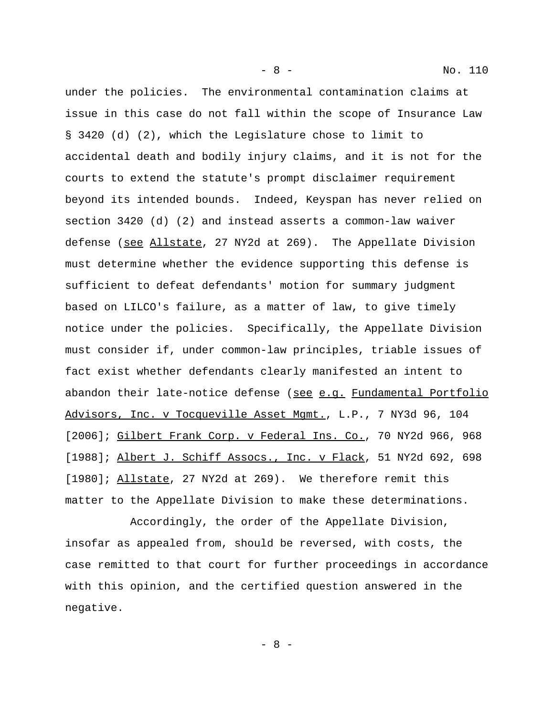under the policies. The environmental contamination claims at issue in this case do not fall within the scope of Insurance Law § 3420 (d) (2), which the Legislature chose to limit to accidental death and bodily injury claims, and it is not for the courts to extend the statute's prompt disclaimer requirement beyond its intended bounds. Indeed, Keyspan has never relied on section 3420 (d) (2) and instead asserts a common-law waiver defense (see Allstate, 27 NY2d at 269). The Appellate Division must determine whether the evidence supporting this defense is sufficient to defeat defendants' motion for summary judgment based on LILCO's failure, as a matter of law, to give timely notice under the policies. Specifically, the Appellate Division must consider if, under common-law principles, triable issues of fact exist whether defendants clearly manifested an intent to abandon their late-notice defense (see e.g. Fundamental Portfolio Advisors, Inc. v Tocqueville Asset Mgmt., L.P., 7 NY3d 96, 104 [2006]; Gilbert Frank Corp. v Federal Ins. Co., 70 NY2d 966, 968 [1988]; Albert J. Schiff Assocs., Inc. v Flack, 51 NY2d 692, 698 [1980]; Allstate, 27 NY2d at 269). We therefore remit this matter to the Appellate Division to make these determinations.

Accordingly, the order of the Appellate Division, insofar as appealed from, should be reversed, with costs, the case remitted to that court for further proceedings in accordance with this opinion, and the certified question answered in the negative.

- 8 -